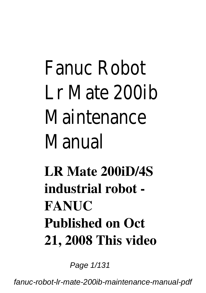# Fanuc Robot Lr Mate 200ib Maintenance Manual

**LR Mate 200iD/4S industrial robot - FANUC Published on Oct 21, 2008 This video**

Page 1/131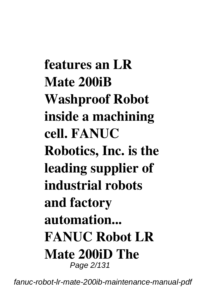**features an LR Mate 200iB Washproof Robot inside a machining cell. FANUC Robotics, Inc. is the leading supplier of industrial robots and factory automation... FANUC Robot LR Mate 200iD The** Page 2/131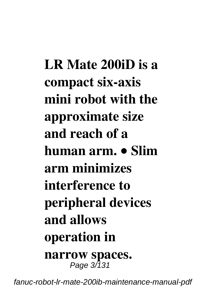**LR Mate 200iD is a compact six-axis mini robot with the approximate size and reach of a human arm. • Slim arm minimizes interference to peripheral devices and allows operation in narrow spaces.** Page 3/131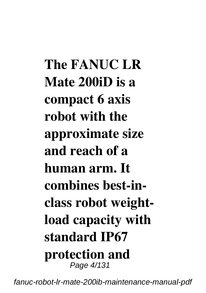**The FANUC LR Mate 200iD is a compact 6 axis robot with the approximate size and reach of a human arm. It combines best-inclass robot weightload capacity with standard IP67 protection and** Page 4/131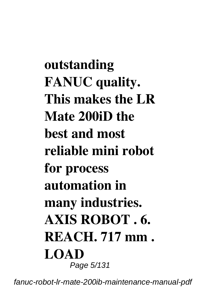**outstanding FANUC quality. This makes the LR Mate 200iD the best and most reliable mini robot for process automation in many industries. AXIS ROBOT . 6. REACH. 717 mm . LOAD** Page 5/131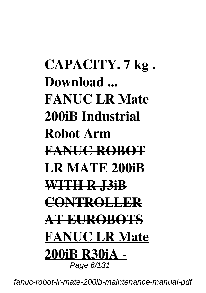## **CAPACITY. 7 kg . Download ... FANUC LR Mate 200iB Industrial Robot Arm FANUC ROBOT LR MATE 200iB WITH R J3iB CONTROLLER AT EUROBOTS FANUC LR Mate 200iB R30iA -** Page 6/131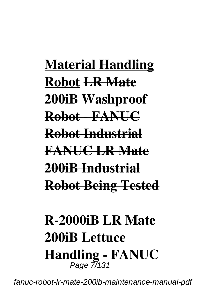**Material Handling Robot LR Mate 200iB Washproof Robot - FANUC Robot Industrial FANUC LR Mate 200iB Industrial Robot Being Tested**

### **R-2000iB LR Mate 200iB Lettuce Handling - FANUC** Page 7/131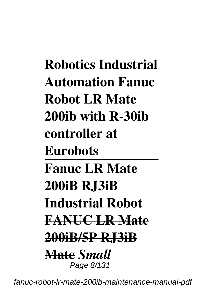**Robotics Industrial Automation Fanuc Robot LR Mate 200ib with R-30ib controller at Eurobots Fanuc LR Mate 200iB RJ3iB Industrial Robot FANUC LR Mate 200iB/5P RJ3iB Mate** *Small* Page 8/131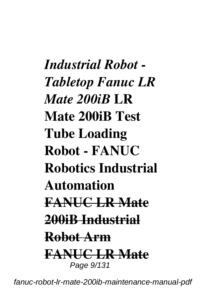*Industrial Robot - Tabletop Fanuc LR Mate 200iB* **LR Mate 200iB Test Tube Loading Robot - FANUC Robotics Industrial Automation FANUC LR Mate 200iB Industrial Robot Arm FANUC LR Mate** Page  $9/131$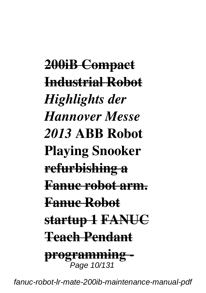**200iB Compact Industrial Robot** *Highlights der Hannover Messe 2013* **ABB Robot Playing Snooker refurbishing a Fanuc robot arm. Fanuc Robot startup 1 FANUC Teach Pendant programming -** ,<br>Page 10/131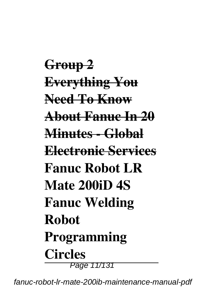**Group 2 Everything You Need To Know About Fanuc In 20 Minutes - Global Electronic Services Fanuc Robot LR Mate 200iD 4S Fanuc Welding Robot Programming Circles** Page 11/131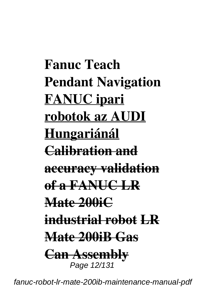**Fanuc Teach Pendant Navigation FANUC ipari robotok az AUDI Hungariánál Calibration and accuracy validation of a FANUC LR Mate 200iC industrial robot LR Mate 200iB Gas Can Assembly** Page 12/131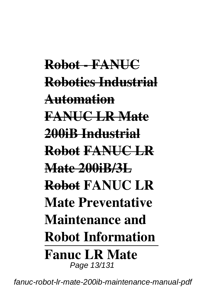**Robot - FANUC Robotics Industrial Automation FANUC LR Mate 200iB Industrial Robot FANUC LR Mate 200iB/3L Robot FANUC LR Mate Preventative Maintenance and Robot Information Fanuc LR Mate** Page 13/131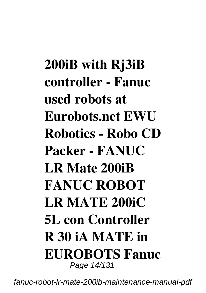**200iB with Rj3iB controller - Fanuc used robots at Eurobots.net EWU Robotics - Robo CD Packer - FANUC LR Mate 200iB FANUC ROBOT LR MATE 200iC 5L con Controller R 30 iA MATE in EUROBOTS Fanuc** Page 14/131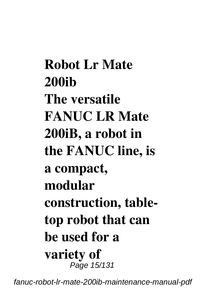**Robot Lr Mate 200ib The versatile FANUC LR Mate 200iB, a robot in the FANUC line, is a compact, modular construction, tabletop robot that can be used for a variety of** Page 15/131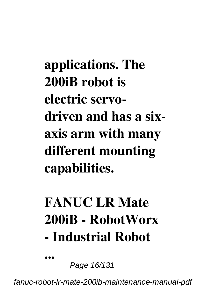**applications. The 200iB robot is electric servodriven and has a sixaxis arm with many different mounting capabilities.**

# **FANUC LR Mate 200iB - RobotWorx - Industrial Robot**

Page 16/131

**...**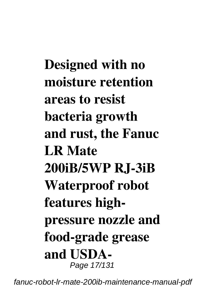**Designed with no moisture retention areas to resist bacteria growth and rust, the Fanuc LR Mate 200iB/5WP RJ-3iB Waterproof robot features highpressure nozzle and food-grade grease and USDA-**Page 17/131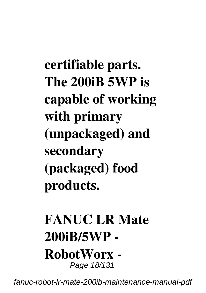**certifiable parts. The 200iB 5WP is capable of working with primary (unpackaged) and secondary (packaged) food products.**

### **FANUC LR Mate 200iB/5WP - RobotWorx -** Page 18/131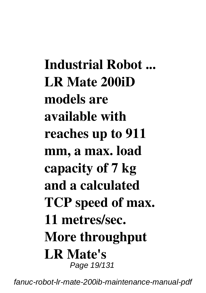**Industrial Robot ... LR Mate 200iD models are available with reaches up to 911 mm, a max. load capacity of 7 kg and a calculated TCP speed of max. 11 metres/sec. More throughput LR Mate's** Page 19/131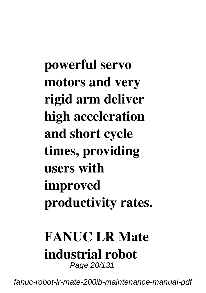**powerful servo motors and very rigid arm deliver high acceleration and short cycle times, providing users with improved productivity rates.**

# **FANUC LR Mate industrial robot**

Page 20/131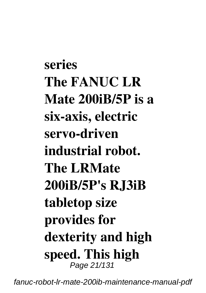**series The FANUC LR Mate 200iB/5P is a six-axis, electric servo-driven industrial robot. The LRMate 200iB/5P's RJ3iB tabletop size provides for dexterity and high speed. This high** Page 21/131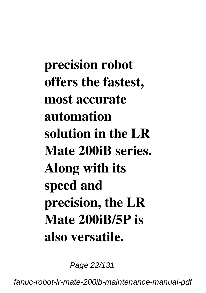**precision robot offers the fastest, most accurate automation solution in the LR Mate 200iB series. Along with its speed and precision, the LR Mate 200iB/5P is also versatile.**

Page 22/131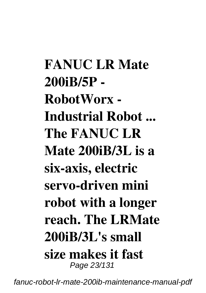**FANUC LR Mate 200iB/5P - RobotWorx - Industrial Robot ... The FANUC LR Mate 200iB/3L is a six-axis, electric servo-driven mini robot with a longer reach. The LRMate 200iB/3L's small size makes it fast** Page 23/131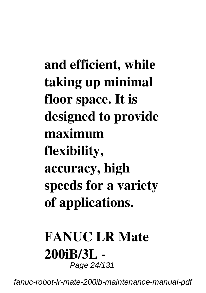**and efficient, while taking up minimal floor space. It is designed to provide maximum flexibility, accuracy, high speeds for a variety of applications.**

#### **FANUC LR Mate 200iB/3L -** Page 24/131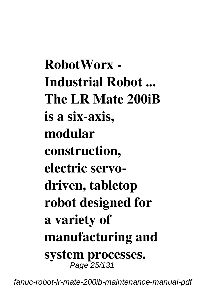**RobotWorx - Industrial Robot ... The LR Mate 200iB is a six-axis, modular construction, electric servodriven, tabletop robot designed for a variety of manufacturing and system processes.** Page 25/131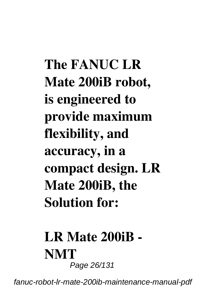**The FANUC LR Mate 200iB robot, is engineered to provide maximum flexibility, and accuracy, in a compact design. LR Mate 200iB, the Solution for:**

### **LR Mate 200iB - NMT** Page 26/131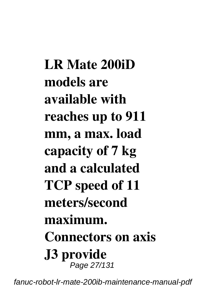**LR Mate 200iD models are available with reaches up to 911 mm, a max. load capacity of 7 kg and a calculated TCP speed of 11 meters/second maximum. Connectors on axis J3 provide** Page 27/131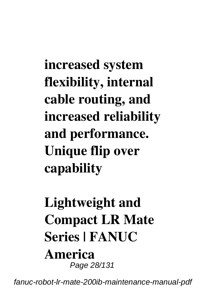**increased system flexibility, internal cable routing, and increased reliability and performance. Unique flip over capability**

### **Lightweight and Compact LR Mate Series | FANUC America** Page 28/131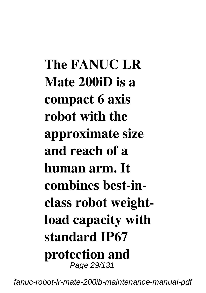**The FANUC LR Mate 200iD is a compact 6 axis robot with the approximate size and reach of a human arm. It combines best-inclass robot weightload capacity with standard IP67 protection and** Page 29/131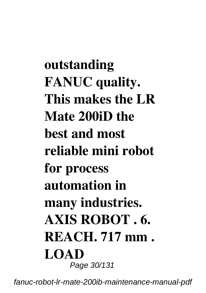**outstanding FANUC quality. This makes the LR Mate 200iD the best and most reliable mini robot for process automation in many industries. AXIS ROBOT . 6. REACH. 717 mm . LOAD** Page 30/131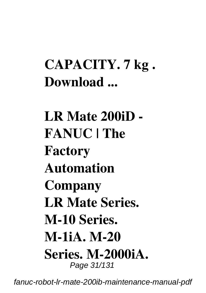### **CAPACITY. 7 kg . Download ...**

**LR Mate 200iD - FANUC | The Factory Automation Company LR Mate Series. M-10 Series. M-1iA. M-20 Series. M-2000iA.** Page 31/131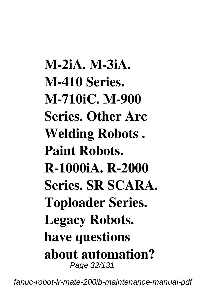**M-2iA. M-3iA. M-410 Series. M-710iC. M-900 Series. Other Arc Welding Robots . Paint Robots. R-1000iA. R-2000 Series. SR SCARA. Toploader Series. Legacy Robots. have questions about automation?** Page 32/131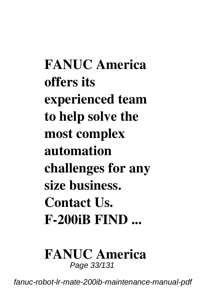**FANUC America offers its experienced team to help solve the most complex automation challenges for any size business. Contact Us. F-200iB FIND ...**

#### **FANUC America** Page 33/131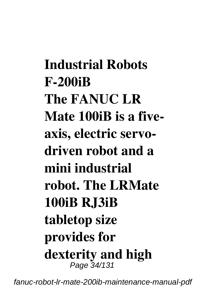**Industrial Robots F-200iB The FANUC LR Mate 100iB is a fiveaxis, electric servodriven robot and a mini industrial robot. The LRMate 100iB RJ3iB tabletop size provides for dexterity and high** Page 34/131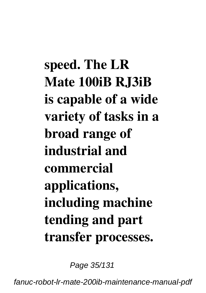**speed. The LR Mate 100iB RJ3iB is capable of a wide variety of tasks in a broad range of industrial and commercial applications, including machine tending and part transfer processes.**

Page 35/131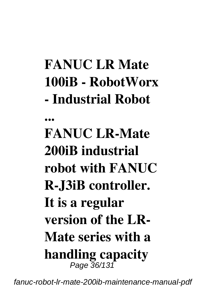# **FANUC LR Mate 100iB - RobotWorx - Industrial Robot**

**... FANUC LR-Mate 200iB industrial robot with FANUC R-J3iB controller. It is a regular version of the LR-Mate series with a handling capacity** Page 36/131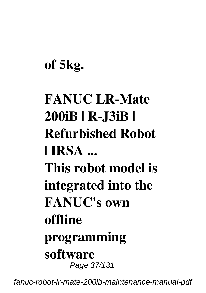### **of 5kg.**

## **FANUC LR-Mate 200iB | R-J3iB | Refurbished Robot | IRSA ... This robot model is integrated into the FANUC's own offline programming software** Page 37/131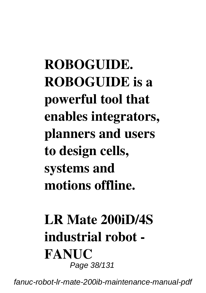**ROBOGUIDE. ROBOGUIDE is a powerful tool that enables integrators, planners and users to design cells, systems and motions offline.**

### **LR Mate 200iD/4S industrial robot - FANUC** Page 38/131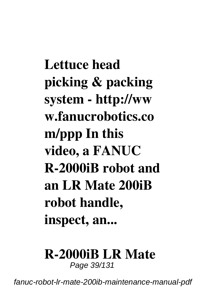**Lettuce head picking & packing system - http://ww w.fanucrobotics.co m/ppp In this video, a FANUC R-2000iB robot and an LR Mate 200iB robot handle, inspect, an...**

# **R-2000iB LR Mate**

Page 39/131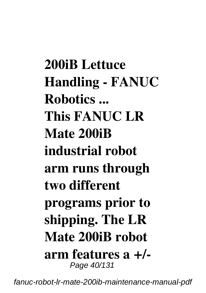**200iB Lettuce Handling - FANUC Robotics ... This FANUC LR Mate 200iB industrial robot arm runs through two different programs prior to shipping. The LR Mate 200iB robot arm features a +/-** Page 40/131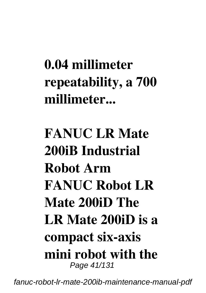## **0.04 millimeter repeatability, a 700 millimeter...**

### **FANUC LR Mate 200iB Industrial Robot Arm FANUC Robot LR Mate 200iD The LR Mate 200iD is a compact six-axis mini robot with the** Page 41/131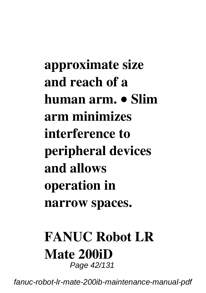**approximate size and reach of a human arm. • Slim arm minimizes interference to peripheral devices and allows operation in narrow spaces.**

#### **FANUC Robot LR Mate 200iD** Page 42/131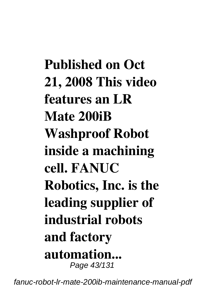**Published on Oct 21, 2008 This video features an LR Mate 200iB Washproof Robot inside a machining cell. FANUC Robotics, Inc. is the leading supplier of industrial robots and factory automation...** Page 43/131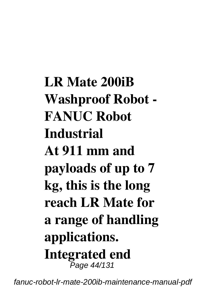**LR Mate 200iB Washproof Robot - FANUC Robot Industrial At 911 mm and payloads of up to 7 kg, this is the long reach LR Mate for a range of handling applications. Integrated end** Page 44/131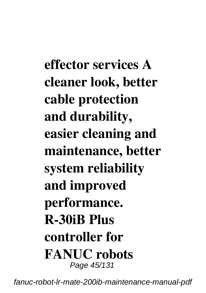**effector services A cleaner look, better cable protection and durability, easier cleaning and maintenance, better system reliability and improved performance. R-30iB Plus controller for FANUC robots** Page 45/131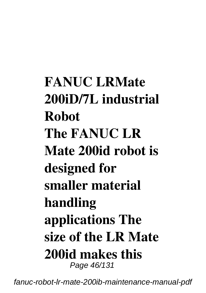**FANUC LRMate 200iD/7L industrial Robot The FANUC LR Mate 200id robot is designed for smaller material handling applications The size of the LR Mate 200id makes this** Page 46/131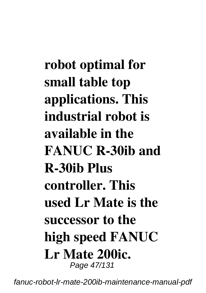**robot optimal for small table top applications. This industrial robot is available in the FANUC R-30ib and R-30ib Plus controller. This used Lr Mate is the successor to the high speed FANUC Lr Mate 200ic.** Page 47/131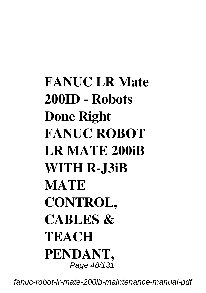## **FANUC LR Mate 200ID - Robots Done Right FANUC ROBOT LR MATE 200iB WITH R-J3iB MATE CONTROL, CABLES & TEACH PENDANT,** Page 48/131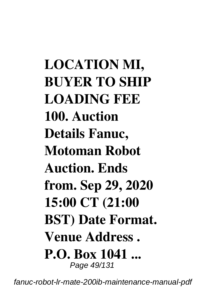**LOCATION MI, BUYER TO SHIP LOADING FEE 100. Auction Details Fanuc, Motoman Robot Auction. Ends from. Sep 29, 2020 15:00 CT (21:00 BST) Date Format. Venue Address . P.O. Box 1041 ...** Page 49/131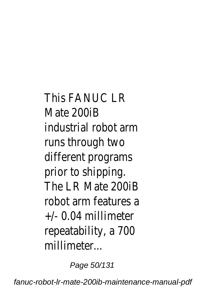This FANUC LR Mate 200iB industrial robot arm runs through two different programs prior to shipping. The LR Mate 200iB robot arm features a +/- 0.04 millimeter repeatability, a 700 millimeter...

Page 50/131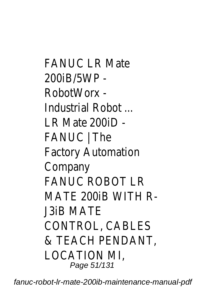FANUC LR Mate 200iB/5WP - RobotWorx - Industrial Robot ... LR Mate 200iD - FANUC | The Factory Automation Company FANUC ROBOT LR MATE 200iB WITH R-J3iB MATE CONTROL, CABLES & TEACH PENDANT, LOCATION MI, Page 51/131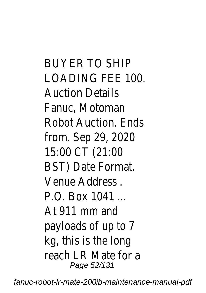BUYER TO SHIP LOADING FEE 100. Auction Details Fanuc, Motoman Robot Auction. Ends from. Sep 29, 2020 15:00 CT (21:00 BST) Date Format. Venue Address . P.O. Box 1041 ... At 911 mm and payloads of up to 7 kg, this is the long reach LR Mate for a Page 52/131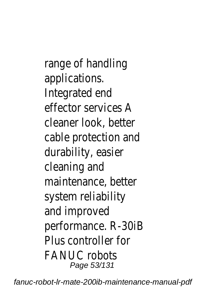range of handling applications. Integrated end effector services A cleaner look, better cable protection and durability, easier cleaning and maintenance, better system reliability and improved performance. R-30iB Plus controller for FANUC robots Page 53/131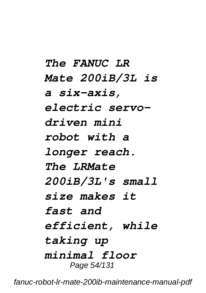*The FANUC LR Mate 200iB/3L is a six-axis, electric servodriven mini robot with a longer reach. The LRMate 200iB/3L's small size makes it fast and efficient, while taking up minimal floor* Page 54/131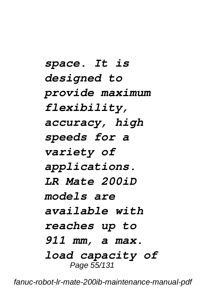*space. It is designed to provide maximum flexibility, accuracy, high speeds for a variety of applications. LR Mate 200iD models are available with reaches up to 911 mm, a max. load capacity of* Page 55/131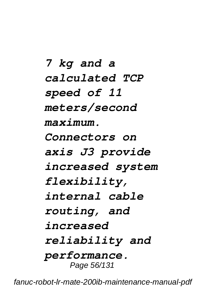*7 kg and a calculated TCP speed of 11 meters/second maximum. Connectors on axis J3 provide increased system flexibility, internal cable routing, and increased reliability and performance.* Page 56/131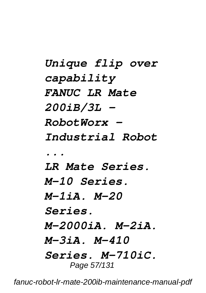*Unique flip over capability FANUC LR Mate 200iB/3L - RobotWorx - Industrial Robot ... LR Mate Series. M-10 Series. M-1iA. M-20 Series. M-2000iA. M-2iA. M-3iA. M-410 Series. M-710iC.* Page 57/131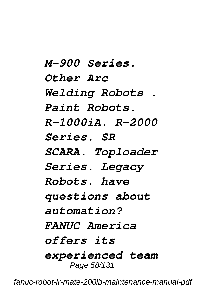*M-900 Series. Other Arc Welding Robots . Paint Robots. R-1000iA. R-2000 Series. SR SCARA. Toploader Series. Legacy Robots. have questions about automation? FANUC America offers its experienced team* Page 58/131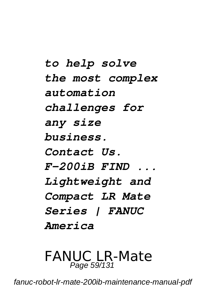*to help solve the most complex automation challenges for any size business. Contact Us. F-200iB FIND ... Lightweight and Compact LR Mate Series | FANUC America*

#### FANUC LR-Mate Page 59/131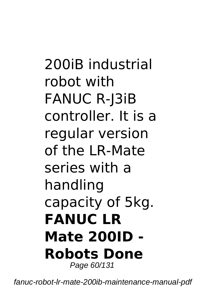## 200iB industrial robot with FANUC R-J3iB controller. It is a regular version of the LR-Mate series with a handling capacity of 5kg. **FANUC LR Mate 200ID - Robots Done** Page 60/131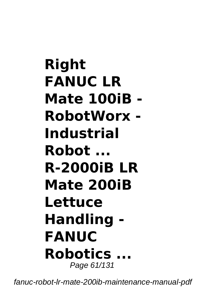**Right FANUC LR Mate 100iB - RobotWorx - Industrial Robot ... R-2000iB LR Mate 200iB Lettuce Handling - FANUC Robotics ...** Page 61/131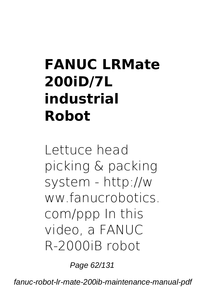# **FANUC LRMate 200iD/7L industrial Robot**

Lettuce head picking & packing system - http://w ww.fanucrobotics. com/ppp In this video, a FANUC R-2000iB robot

Page 62/131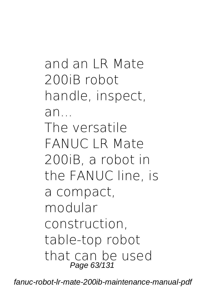and an LR Mate 200iB robot handle, inspect, an... The versatile FANUC LR Mate 200iB, a robot in the FANUC line, is a compact, modular construction, table-top robot that can be used Page 63/131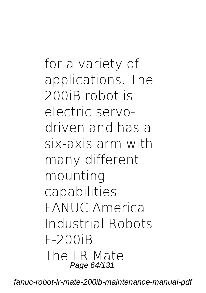for a variety of applications. The 200iB robot is electric servodriven and has a six-axis arm with many different mounting capabilities. **FANUC America Industrial Robots F-200iB** The LR Mate Page 64/131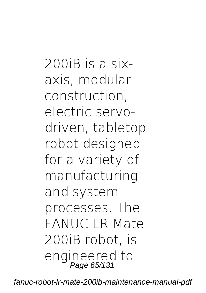200iB is a sixaxis, modular construction, electric servodriven, tabletop robot designed for a variety of manufacturing and system processes. The FANUC LR Mate 200iB robot, is engineered to<br>Page 65/131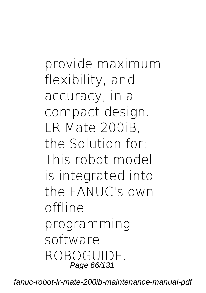provide maximum flexibility, and accuracy, in a compact design. LR Mate 200iB, the Solution for: This robot model is integrated into the FANUC's own offline programming software ROBOGUIDE. Page 66/131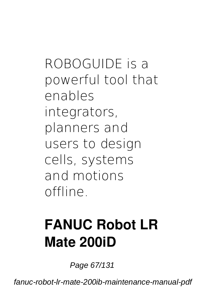ROBOGUIDE is a powerful tool that enables integrators, planners and users to design cells, systems and motions offline.

## **FANUC Robot LR Mate 200iD**

Page 67/131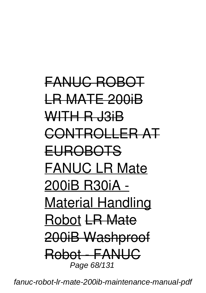FANUC ROBOT LR MATE 200iB WITH R J3iB CONTROLLER AT EUROBOTS FANUC LR Mate 200iB R30iA - Material Handling Robot LR Mate 200iB Washproof Robot - FANUC Page 68/131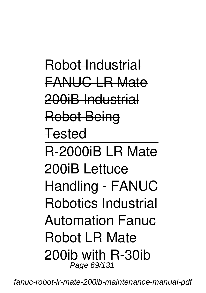Robot Industrial FANUC LR Mate 200iB Industrial Robot Being **Tested** R-2000iB LR Mate 200iB Lettuce Handling - FANUC Robotics Industrial Automation Fanuc Robot LR Mate 200ib with R-30ib Page 69/131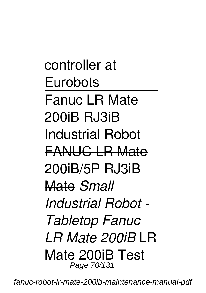controller at Eurobots Fanuc LR Mate 200iB R.I3iB Industrial Robot FANUC LR Mate 200iB/5P RJ3iB Mate *Small Industrial Robot - Tabletop Fanuc LR Mate 200iB* LR Mate 200iB Test Page 70/131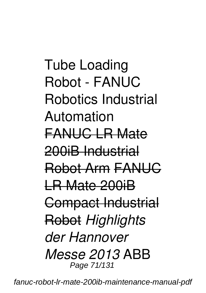Tube Loading Robot - FANUC Robotics Industrial Automation FANUC LR Mate 200iB Industrial Robot Arm FANUC LR Mate 200iB Compact Industrial Robot *Highlights der Hannover Messe 2013* ABB Page 71/131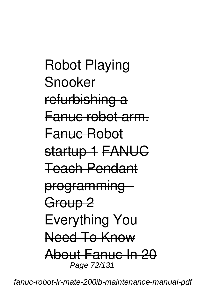Robot Playing Snooker refurbishing a Fanuc robot arm. Fanuc Robot startup 1 FANUG Teach Pendant programming - Group<sub>2</sub> Everything You Need To Know About Fanuc In 20 Page 72/131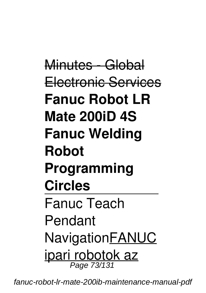Minutes - Global Electronic Services **Fanuc Robot LR Mate 200iD 4S Fanuc Welding Robot Programming Circles** Fanuc Teach Pendant NavigationFANUC ipari robotok az Page 73/131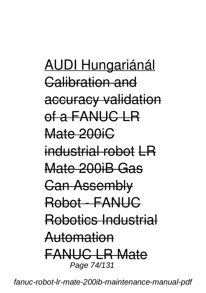AUDI Hungariánál Calibration and accuracy validation of a FANUC LR Mate 200iC industrial robot LR Mate 200iB Gas Can Assembly Robot - FANUC Robotics Industrial Automation FANUC LR Mate Page 74/131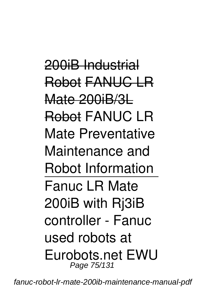200iB Industrial Robot FANUC LR Mate 200iB/3L Robot FANUC LR Mate Preventative Maintenance and Robot Information Fanuc LR Mate 200iB with Rj3iB controller - Fanuc used robots at Eurobots.net EWU Page 75/131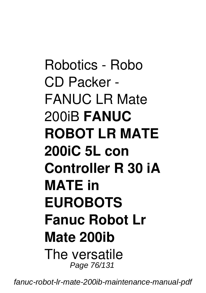Robotics - Robo CD Packer - FANUC LR Mate 200iB **FANUC ROBOT LR MATE 200iC 5L con Controller R 30 iA MATE in EUROBOTS Fanuc Robot Lr Mate 200ib** The versatile Page 76/131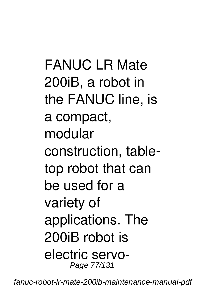FANUC LR Mate 200iB, a robot in the FANUC line, is a compact, modular construction, tabletop robot that can be used for a variety of applications. The 200iB robot is electric servo-Page 77/131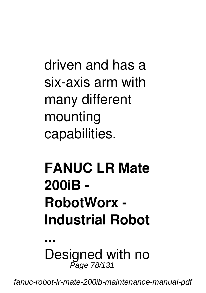driven and has a six-axis arm with many different mounting capabilities.

# **FANUC LR Mate 200iB - RobotWorx - Industrial Robot**

**...** Designed with no Page 78/131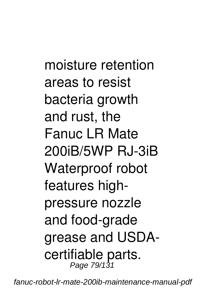moisture retention areas to resist bacteria growth and rust, the Fanuc LR Mate 200iB/5WP RJ-3iB Waterproof robot features highpressure nozzle and food-grade grease and USDAcertifiable parts. Page 79/131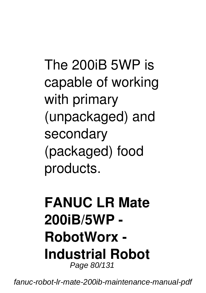The 200iB 5WP is capable of working with primary (unpackaged) and secondary (packaged) food products.

#### **FANUC LR Mate 200iB/5WP - RobotWorx - Industrial Robot** Page 80/131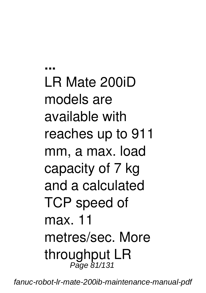**...** LR Mate 200iD models are available with reaches up to 911 mm, a max. load capacity of 7 kg and a calculated TCP speed of max. 11 metres/sec. More throughput LR Page 81/131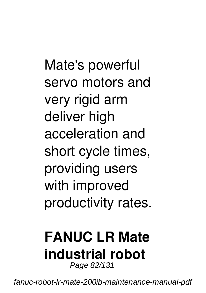Mate's powerful servo motors and very rigid arm deliver high acceleration and short cycle times, providing users with improved productivity rates.

#### **FANUC LR Mate industrial robot** Page 82/131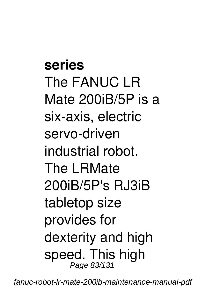**series** The FANUC LR Mate 200iB/5P is a six-axis, electric servo-driven industrial robot. The LRMate 200iB/5P's RJ3iB tabletop size provides for dexterity and high speed. This high Page 83/131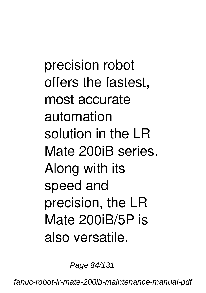precision robot offers the fastest, most accurate automation solution in the LR Mate 200iB series. Along with its speed and precision, the LR Mate 200iB/5P is also versatile.

Page 84/131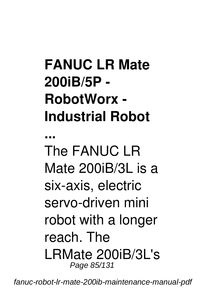# **FANUC LR Mate 200iB/5P - RobotWorx - Industrial Robot**

**...** The FANUC LR Mate 200iB/3L is a six-axis, electric servo-driven mini robot with a longer reach. The LRMate 200iB/3L's Page 85/131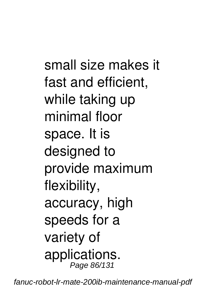small size makes it fast and efficient, while taking up minimal floor space. It is designed to provide maximum flexibility, accuracy, high speeds for a variety of applications. Page 86/131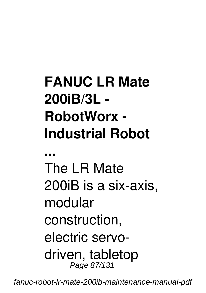# **FANUC LR Mate 200iB/3L - RobotWorx - Industrial Robot**

**...**

The LR Mate 200iB is a six-axis, modular construction, electric servodriven, tabletop Page 87/131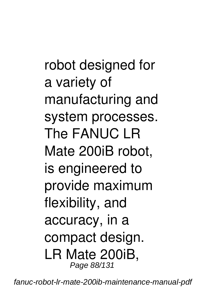robot designed for a variety of manufacturing and system processes. The FANUC LR Mate 200iB robot, is engineered to provide maximum flexibility, and accuracy, in a compact design. LR Mate 200iB, Page 88/131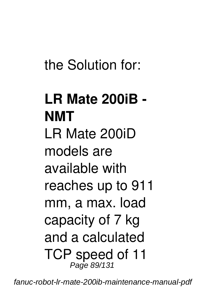## the Solution for:

### **LR Mate 200iB - NMT** LR Mate 200iD models are available with reaches up to 911 mm, a max. load capacity of 7 kg and a calculated TCP speed of 11 Page 89/131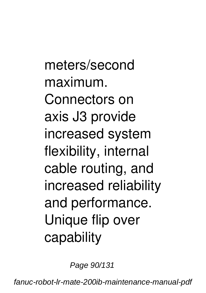meters/second maximum. Connectors on axis J3 provide increased system flexibility, internal cable routing, and increased reliability and performance. Unique flip over capability

Page 90/131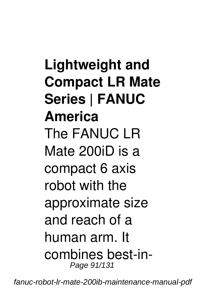**Lightweight and Compact LR Mate Series | FANUC America** The FANUC LR Mate 200iD is a compact 6 axis robot with the approximate size and reach of a human arm. It combines best-in-Page 91/131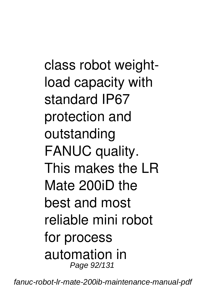class robot weightload capacity with standard IP67 protection and outstanding FANUC quality. This makes the LR Mate 200iD the best and most reliable mini robot for process automation in Page 92/131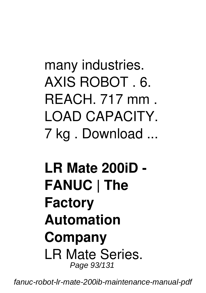many industries. AXIS ROBOT . 6. REACH. 717 mm . LOAD CAPACITY. 7 kg . Download ...

**LR Mate 200iD - FANUC | The Factory Automation Company** LR Mate Series. Page 93/131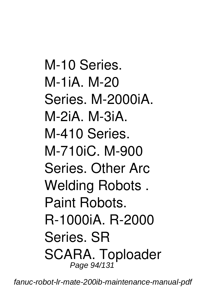M-10 Series. M-1iA. M-20 Series. M-2000iA. M-2iA. M-3iA. M-410 Series. M-710iC. M-900 Series. Other Arc Welding Robots . Paint Robots. R-1000iA. R-2000 Series. SR SCARA. Toploader Page 94/131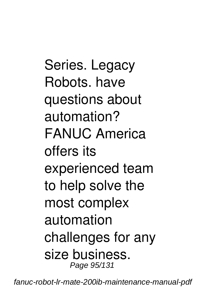Series. Legacy Robots. have questions about automation? FANUC America offers its experienced team to help solve the most complex automation challenges for any size business. Page 95/131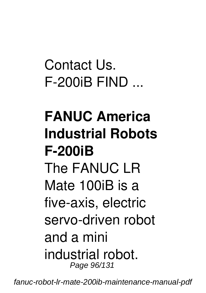Contact Lls F-200iB FIND ...

### **FANUC America Industrial Robots F-200iB** The FANLIC LR Mate 100iB is a five-axis, electric servo-driven robot and a mini industrial robot. Page 96/131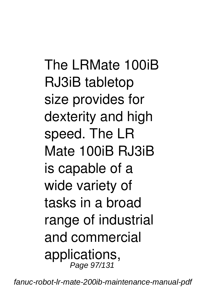The LRMate 100iB RJ3iB tabletop size provides for dexterity and high speed. The LR Mate 100iB RJ3iB is capable of a wide variety of tasks in a broad range of industrial and commercial applications, Page 97/131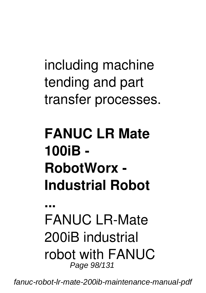including machine tending and part transfer processes.

## **FANUC LR Mate 100iB - RobotWorx - Industrial Robot**

**...** FANLIC LR-Mate 200iB industrial robot with FANUC Page 98/131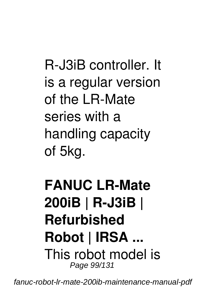R-J3iB controller. It is a regular version of the LR-Mate series with a handling capacity of 5kg.

#### **FANUC LR-Mate 200iB | R-J3iB | Refurbished Robot | IRSA ...** This robot model is Page 99/131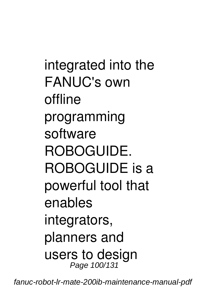integrated into the FANUC's own offline programming software ROBOGUIDE. ROBOGUIDE is a powerful tool that enables integrators, planners and users to design Page 100/131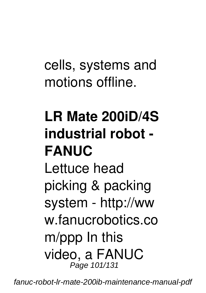cells, systems and motions offline.

# **LR Mate 200iD/4S industrial robot - FANUC** Lettuce head picking & packing system - http://ww w.fanucrobotics.co m/ppp In this video, a FANUC

fanuc-robot-lr-mate-200ib-maintenance-manual-pdf

Page 101/131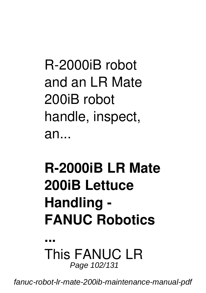R-2000iB robot and an LR Mate 200iB robot handle, inspect, an...

# **R-2000iB LR Mate 200iB Lettuce Handling - FANUC Robotics**

**...** This FANUC LR Page 102/131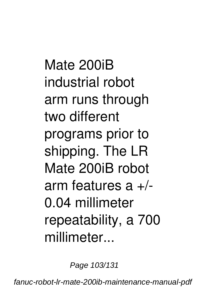Mate 200iR industrial robot arm runs through two different programs prior to shipping. The LR Mate 200iB robot arm features  $a +$ /-0.04 millimeter repeatability, a 700 millimeter...

Page 103/131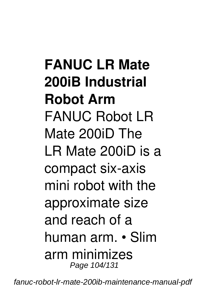## **FANUC LR Mate 200iB Industrial Robot Arm** FANUC Robot LR Mate 200iD The LR Mate 200iD is a compact six-axis mini robot with the approximate size and reach of a human arm. • Slim arm minimizes Page 104/131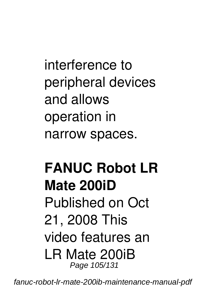interference to peripheral devices and allows operation in narrow spaces.

#### **FANUC Robot LR Mate 200iD** Published on Oct 21, 2008 This video features an LR Mate 200iB Page 105/131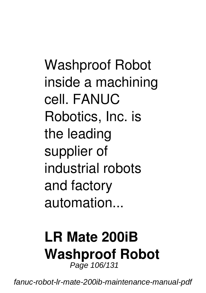Washproof Robot inside a machining cell. FANUC Robotics, Inc. is the leading supplier of industrial robots and factory automation...

#### **LR Mate 200iB Washproof Robot** Page 106/131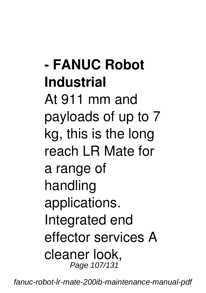**- FANUC Robot Industrial** At 911 mm and payloads of up to 7 kg, this is the long reach LR Mate for a range of handling applications. Integrated end effector services A cleaner look, Page 107/131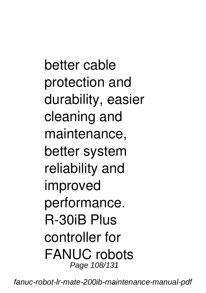better cable protection and durability, easier cleaning and maintenance, better system reliability and improved performance. R-30iB Plus controller for FANUC robots Page 108/131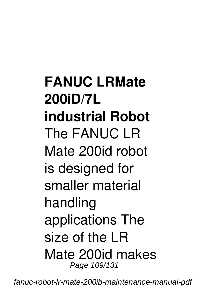**FANUC LRMate 200iD/7L industrial Robot** The FANUC LR Mate 200id robot is designed for smaller material handling applications The size of the LR Mate 200id makes Page 109/131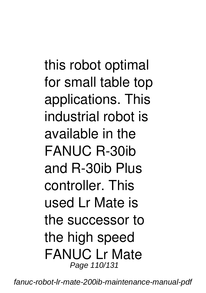this robot optimal for small table top applications. This industrial robot is available in the FANUC R-30ib and R-30ib Plus controller. This used Lr Mate is the successor to the high speed FANUC Lr Mate Page 110/131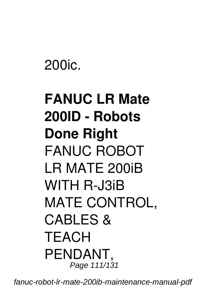200ic.

## **FANUC LR Mate 200ID - Robots Done Right** FANUC ROBOT LR MATE 200iB WITH R-J3iB MATE CONTROL, CARI FS & **TEACH** PENDANT, Page 111/131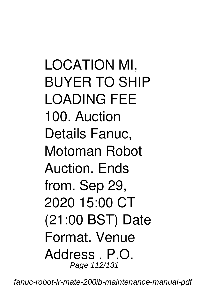LOCATION MI, BUYER TO SHIP LOADING FEE 100. Auction Details Fanuc, Motoman Robot Auction. Ends from. Sep 29, 2020 15:00 CT (21:00 BST) Date Format. Venue Address . P.O. Page 112/131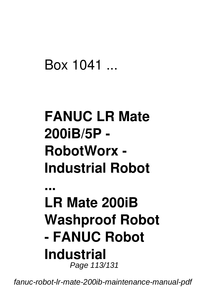### Box 1041 ...

## **FANUC LR Mate 200iB/5P - RobotWorx - Industrial Robot**

#### **... LR Mate 200iB Washproof Robot - FANUC Robot Industrial** Page 113/131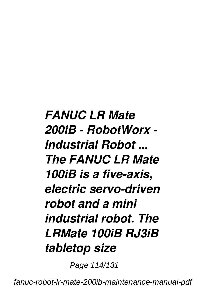### *FANUC LR Mate 200iB - RobotWorx - Industrial Robot ... The FANUC LR Mate 100iB is a five-axis, electric servo-driven robot and a mini industrial robot. The LRMate 100iB RJ3iB tabletop size*

Page 114/131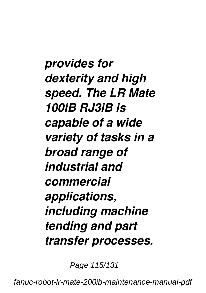*provides for dexterity and high speed. The LR Mate 100iB RJ3iB is capable of a wide variety of tasks in a broad range of industrial and commercial applications, including machine tending and part transfer processes.*

Page 115/131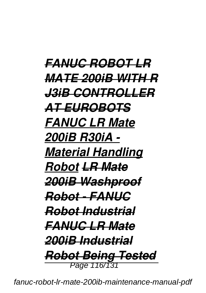*FANUC ROBOT LR MATE 200iB WITH R J3iB CONTROLLER AT EUROBOTS FANUC LR Mate 200iB R30iA - Material Handling Robot LR Mate 200iB Washproof Robot - FANUC Robot Industrial FANUC LR Mate 200iB Industrial Robot Being Tested* Page 116/131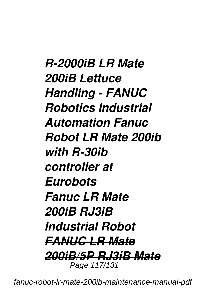*R-2000iB LR Mate 200iB Lettuce Handling - FANUC Robotics Industrial Automation Fanuc Robot LR Mate 200ib with R-30ib controller at Eurobots Fanuc LR Mate 200iB RJ3iB Industrial Robot FANUC LR Mate 200iB/5P RJ3iB Mate* Page 117/131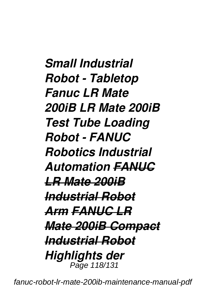*Small Industrial Robot - Tabletop Fanuc LR Mate 200iB LR Mate 200iB Test Tube Loading Robot - FANUC Robotics Industrial Automation FANUC LR Mate 200iB Industrial Robot Arm FANUC LR Mate 200iB Compact Industrial Robot Highlights der* Page 118/131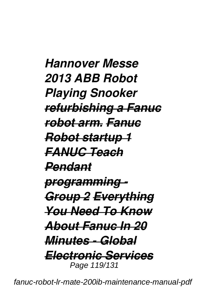*Hannover Messe 2013 ABB Robot Playing Snooker refurbishing a Fanuc robot arm. Fanuc Robot startup 1 FANUC Teach Pendant programming - Group 2 Everything You Need To Know About Fanuc In 20 Minutes - Global Electronic Services* Page 119/131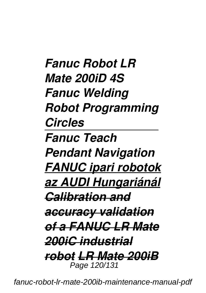*Fanuc Robot LR Mate 200iD 4S Fanuc Welding Robot Programming Circles Fanuc Teach Pendant Navigation FANUC ipari robotok az AUDI Hungariánál Calibration and accuracy validation of a FANUC LR Mate 200iC industrial robot LR Mate 200iB* Page 120/131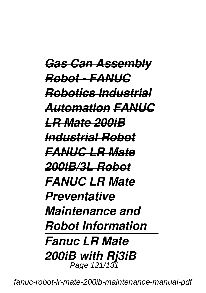*Gas Can Assembly Robot - FANUC Robotics Industrial Automation FANUC LR Mate 200iB Industrial Robot FANUC LR Mate 200iB/3L Robot FANUC LR Mate Preventative Maintenance and Robot Information Fanuc LR Mate 200iB with Rj3iB* Page 121/131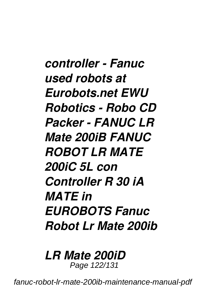*controller - Fanuc used robots at Eurobots.net EWU Robotics - Robo CD Packer - FANUC LR Mate 200iB FANUC ROBOT LR MATE 200iC 5L con Controller R 30 iA MATE in EUROBOTS Fanuc Robot Lr Mate 200ib*

#### *LR Mate 200iD*

Page 122/131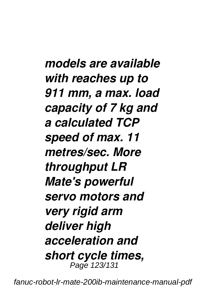*models are available with reaches up to 911 mm, a max. load capacity of 7 kg and a calculated TCP speed of max. 11 metres/sec. More throughput LR Mate's powerful servo motors and very rigid arm deliver high acceleration and short cycle times,* Page 123/131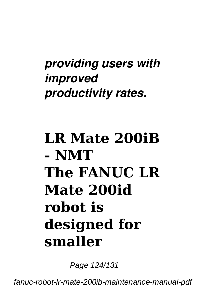### *providing users with improved productivity rates.*

## **LR Mate 200iB - NMT The FANUC LR Mate 200id robot is designed for smaller**

Page 124/131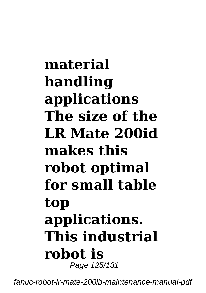## **material handling applications The size of the LR Mate 200id makes this robot optimal for small table top applications. This industrial robot is** Page 125/131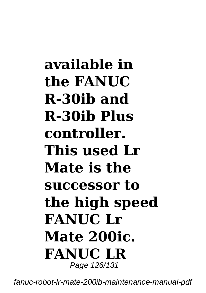**available in the FANUC R-30ib and R-30ib Plus controller. This used Lr Mate is the successor to the high speed FANUC Lr Mate 200ic. FANUC LR** Page 126/131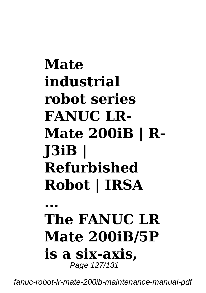# **Mate industrial robot series FANUC LR-Mate 200iB | R-J3iB | Refurbished Robot | IRSA**

### **... The FANUC LR Mate 200iB/5P is a six-axis,** Page 127/131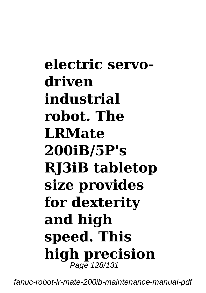**electric servodriven industrial robot. The LRMate 200iB/5P's RJ3iB tabletop size provides for dexterity and high speed. This high precision** Page 128/131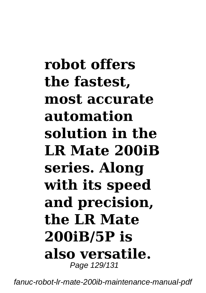**robot offers the fastest, most accurate automation solution in the LR Mate 200iB series. Along with its speed and precision, the LR Mate 200iB/5P is also versatile.** Page 129/131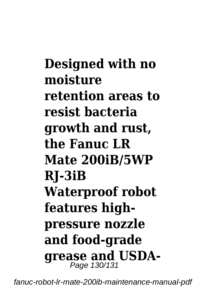**Designed with no moisture retention areas to resist bacteria growth and rust, the Fanuc LR Mate 200iB/5WP RJ-3iB Waterproof robot features highpressure nozzle and food-grade grease and USDA-**<br>Page 130/131